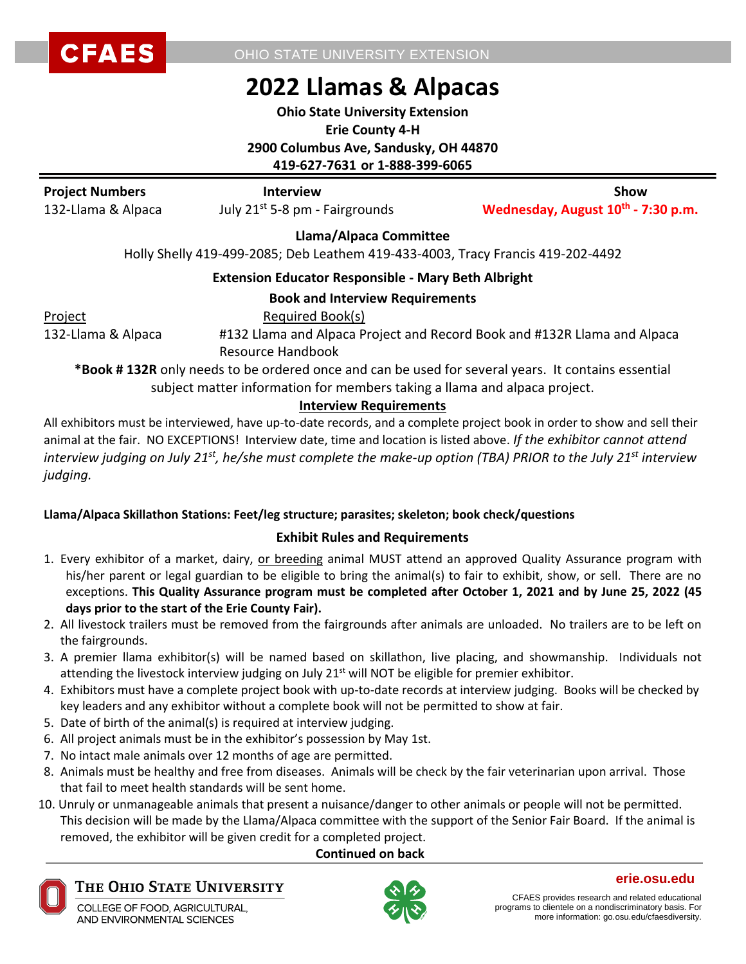OHIO STATE UNIVERSITY EXTENSION

# **2022 Llamas & Alpacas**

**Ohio State University Extension Erie County 4-H 2900 Columbus Ave, Sandusky, OH 44870 419-627-7631 or 1-888-399-6065**

| <b>Project Numbers</b> | <b>Interview</b>                           | Show                                           |
|------------------------|--------------------------------------------|------------------------------------------------|
| 132-Llama & Alpaca     | July 21 <sup>st</sup> 5-8 pm - Fairgrounds | Wednesday, August 10 <sup>th</sup> - 7:30 p.m. |
|                        | Llama/Alnaca Committoo                     |                                                |

**Llama/Alpaca Committee**

Holly Shelly 419-499-2085; Deb Leathem 419-433-4003, Tracy Francis 419-202-4492

#### **Extension Educator Responsible - Mary Beth Albright**

#### **Book and Interview Requirements**

Project Required Book(s)

132-Llama & Alpaca #132 Llama and Alpaca Project and Record Book and #132R Llama and Alpaca Resource Handbook

**\*Book # 132R** only needs to be ordered once and can be used for several years. It contains essential subject matter information for members taking a llama and alpaca project.

#### **Interview Requirements**

All exhibitors must be interviewed, have up-to-date records, and a complete project book in order to show and sell their animal at the fair. NO EXCEPTIONS! Interview date, time and location is listed above. *If the exhibitor cannot attend interview judging on July 21 st, he/she must complete the make-up option (TBA) PRIOR to the July 21st interview judging.*

#### **Llama/Alpaca Skillathon Stations: Feet/leg structure; parasites; skeleton; book check/questions**

#### **Exhibit Rules and Requirements**

- 1. Every exhibitor of a market, dairy, or breeding animal MUST attend an approved Quality Assurance program with his/her parent or legal guardian to be eligible to bring the animal(s) to fair to exhibit, show, or sell. There are no exceptions. **This Quality Assurance program must be completed after October 1, 2021 and by June 25, 2022 (45 days prior to the start of the Erie County Fair).**
- 2. All livestock trailers must be removed from the fairgrounds after animals are unloaded. No trailers are to be left on the fairgrounds.
- 3. A premier llama exhibitor(s) will be named based on skillathon, live placing, and showmanship. Individuals not attending the livestock interview judging on July 21<sup>st</sup> will NOT be eligible for premier exhibitor.
- 4. Exhibitors must have a complete project book with up-to-date records at interview judging. Books will be checked by key leaders and any exhibitor without a complete book will not be permitted to show at fair.
- 5. Date of birth of the animal(s) is required at interview judging.
- 6. All project animals must be in the exhibitor's possession by May 1st.
- 7. No intact male animals over 12 months of age are permitted.
- 8. Animals must be healthy and free from diseases. Animals will be check by the fair veterinarian upon arrival. Those that fail to meet health standards will be sent home.
- 10. Unruly or unmanageable animals that present a nuisance/danger to other animals or people will not be permitted. This decision will be made by the Llama/Alpaca committee with the support of the Senior Fair Board. If the animal is removed, the exhibitor will be given credit for a completed project.

### **Continued on back**



#### THE OHIO STATE UNIVERSITY

COLLEGE OF FOOD, AGRICULTURAL, AND ENVIRONMENTAL SCIENCES



**erie.osu.edu**